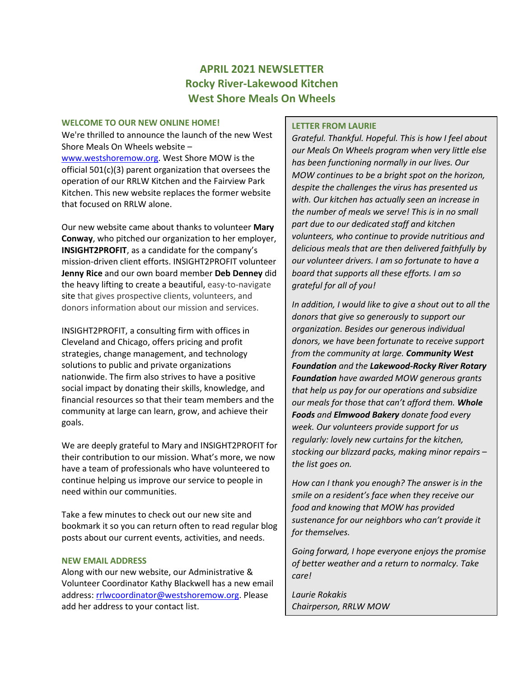# **APRIL 2021 NEWSLETTER Rocky River-Lakewood Kitchen West Shore Meals On Wheels**

#### **WELCOME TO OUR NEW ONLINE HOME!**

We're thrilled to announce the launch of the new West Shore Meals On Wheels website –

[www.westshoremow.org.](http://www.westshoremow.org/) West Shore MOW is the official 501(c)(3) parent organization that oversees the operation of our RRLW Kitchen and the Fairview Park Kitchen. This new website replaces the former website that focused on RRLW alone.

Our new website came about thanks to volunteer **Mary Conway**, who pitched our organization to her employer, **INSIGHT2PROFIT**, as a candidate for the company's mission-driven client efforts. INSIGHT2PROFIT volunteer **Jenny Rice** and our own board member **Deb Denney** did the heavy lifting to create a beautiful, easy-to-navigate site that gives prospective clients, volunteers, and donors information about our mission and services.

INSIGHT2PROFIT, a consulting firm with offices in Cleveland and Chicago, offers pricing and profit strategies, change management, and technology solutions to public and private organizations nationwide. The firm also strives to have a positive social impact by donating their skills, knowledge, and financial resources so that their team members and the community at large can learn, grow, and achieve their goals.

We are deeply grateful to Mary and INSIGHT2PROFIT for their contribution to our mission. What's more, we now have a team of professionals who have volunteered to continue helping us improve our service to people in need within our communities.

Take a few minutes to check out our new site and bookmark it so you can return often to read regular blog posts about our current events, activities, and needs.

### **NEW EMAIL ADDRESS**

Along with our new website, our Administrative & Volunteer Coordinator Kathy Blackwell has a new email address: [rrlwcoordinator@westshoremow.org.](mailto:rrlwcoordinator@westshoremow.org) Please add her address to your contact list.

### **LETTER FROM LAURIE**

*Grateful. Thankful. Hopeful. This is how I feel about our Meals On Wheels program when very little else has been functioning normally in our lives. Our MOW continues to be a bright spot on the horizon, despite the challenges the virus has presented us with. Our kitchen has actually seen an increase in the number of meals we serve! This is in no small part due to our dedicated staff and kitchen volunteers, who continue to provide nutritious and delicious meals that are then delivered faithfully by our volunteer drivers. I am so fortunate to have a board that supports all these efforts. I am so grateful for all of you!*

*In addition, I would like to give a shout out to all the donors that give so generously to support our organization. Besides our generous individual donors, we have been fortunate to receive support from the community at large. Community West Foundation and the Lakewood-Rocky River Rotary Foundation have awarded MOW generous grants that help us pay for our operations and subsidize our meals for those that can't afford them. Whole Foods and Elmwood Bakery donate food every week. Our volunteers provide support for us regularly: lovely new curtains for the kitchen, stocking our blizzard packs, making minor repairs* – *the list goes on.* 

*How can I thank you enough? The answer is in the smile on a resident's face when they receive our food and knowing that MOW has provided sustenance for our neighbors who can't provide it for themselves.* 

*Going forward, I hope everyone enjoys the promise of better weather and a return to normalcy. Take care!* 

*Laurie Rokakis Chairperson, RRLW MOW*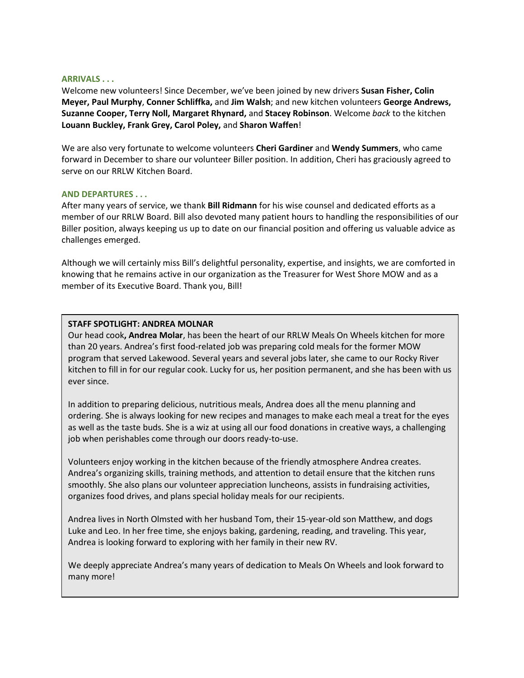#### **ARRIVALS . . .**

Welcome new volunteers! Since December, we've been joined by new drivers **Susan Fisher, Colin Meyer, Paul Murphy**, **Conner Schliffka,** and **Jim Walsh**; and new kitchen volunteers **George Andrews, Suzanne Cooper, Terry Noll, Margaret Rhynard,** and **Stacey Robinson**. Welcome *back* to the kitchen **Louann Buckley, Frank Grey, Carol Poley,** and **Sharon Waffen**!

We are also very fortunate to welcome volunteers **Cheri Gardiner** and **Wendy Summers**, who came forward in December to share our volunteer Biller position. In addition, Cheri has graciously agreed to serve on our RRLW Kitchen Board.

#### **AND DEPARTURES . . .**

After many years of service, we thank **Bill Ridmann** for his wise counsel and dedicated efforts as a member of our RRLW Board. Bill also devoted many patient hours to handling the responsibilities of our Biller position, always keeping us up to date on our financial position and offering us valuable advice as challenges emerged.

Although we will certainly miss Bill's delightful personality, expertise, and insights, we are comforted in knowing that he remains active in our organization as the Treasurer for West Shore MOW and as a member of its Executive Board. Thank you, Bill!

#### **STAFF SPOTLIGHT: ANDREA MOLNAR**

Our head cook**, Andrea Molar**, has been the heart of our RRLW Meals On Wheels kitchen for more than 20 years. Andrea's first food-related job was preparing cold meals for the former MOW program that served Lakewood. Several years and several jobs later, she came to our Rocky River kitchen to fill in for our regular cook. Lucky for us, her position permanent, and she has been with us ever since.

In addition to preparing delicious, nutritious meals, Andrea does all the menu planning and ordering. She is always looking for new recipes and manages to make each meal a treat for the eyes as well as the taste buds. She is a wiz at using all our food donations in creative ways, a challenging job when perishables come through our doors ready-to-use.

Volunteers enjoy working in the kitchen because of the friendly atmosphere Andrea creates. Andrea's organizing skills, training methods, and attention to detail ensure that the kitchen runs smoothly. She also plans our volunteer appreciation luncheons, assists in fundraising activities, organizes food drives, and plans special holiday meals for our recipients.

Andrea lives in North Olmsted with her husband Tom, their 15-year-old son Matthew, and dogs Luke and Leo. In her free time, she enjoys baking, gardening, reading, and traveling. This year, Andrea is looking forward to exploring with her family in their new RV.

We deeply appreciate Andrea's many years of dedication to Meals On Wheels and look forward to many more!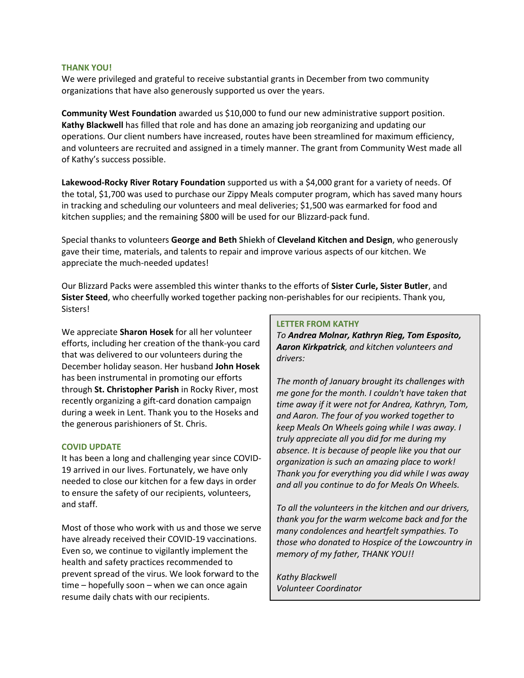### **THANK YOU!**

We were privileged and grateful to receive substantial grants in December from two community organizations that have also generously supported us over the years.

**Community West Foundation** awarded us \$10,000 to fund our new administrative support position. **Kathy Blackwell** has filled that role and has done an amazing job reorganizing and updating our operations. Our client numbers have increased, routes have been streamlined for maximum efficiency, and volunteers are recruited and assigned in a timely manner. The grant from Community West made all of Kathy's success possible.

**Lakewood-Rocky River Rotary Foundation** supported us with a \$4,000 grant for a variety of needs. Of the total, \$1,700 was used to purchase our Zippy Meals computer program, which has saved many hours in tracking and scheduling our volunteers and meal deliveries; \$1,500 was earmarked for food and kitchen supplies; and the remaining \$800 will be used for our Blizzard-pack fund.

Special thanks to volunteers **George and Beth Shiekh** of **Cleveland Kitchen and Design**, who generously gave their time, materials, and talents to repair and improve various aspects of our kitchen. We appreciate the much-needed updates!

Our Blizzard Packs were assembled this winter thanks to the efforts of **Sister Curle, Sister Butler**, and **Sister Steed**, who cheerfully worked together packing non-perishables for our recipients. Thank you, Sisters!

We appreciate **Sharon Hosek** for all her volunteer efforts, including her creation of the thank-you card that was delivered to our volunteers during the December holiday season. Her husband **John Hosek** has been instrumental in promoting our efforts through **St. Christopher Parish** in Rocky River, most recently organizing a gift-card donation campaign during a week in Lent. Thank you to the Hoseks and the generous parishioners of St. Chris.

## **COVID UPDATE**

It has been a long and challenging year since COVID-19 arrived in our lives. Fortunately, we have only needed to close our kitchen for a few days in order to ensure the safety of our recipients, volunteers, and staff.

Most of those who work with us and those we serve have already received their COVID-19 vaccinations. Even so, we continue to vigilantly implement the health and safety practices recommended to prevent spread of the virus. We look forward to the time – hopefully soon – when we can once again resume daily chats with our recipients.

#### **LETTER FROM KATHY**

*To Andrea Molnar, Kathryn Rieg, Tom Esposito, Aaron Kirkpatrick, and kitchen volunteers and drivers:*

*The month of January brought its challenges with me gone for the month. I couldn't have taken that time away if it were not for Andrea, Kathryn, Tom, and Aaron. The four of you worked together to keep Meals On Wheels going while I was away. I truly appreciate all you did for me during my absence. It is because of people like you that our organization is such an amazing place to work! Thank you for everything you did while I was away and all you continue to do for Meals On Wheels.*

*To all the volunteers in the kitchen and our drivers, thank you for the warm welcome back and for the many condolences and heartfelt sympathies. To those who donated to Hospice of the Lowcountry in memory of my father, THANK YOU!!*

*Kathy Blackwell Volunteer Coordinator*